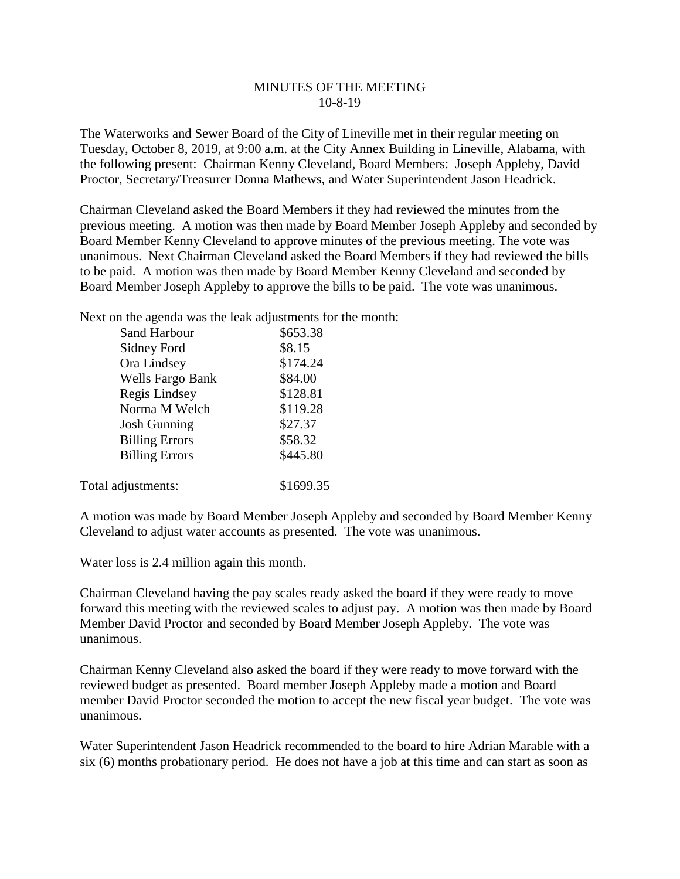## MINUTES OF THE MEETING 10-8-19

The Waterworks and Sewer Board of the City of Lineville met in their regular meeting on Tuesday, October 8, 2019, at 9:00 a.m. at the City Annex Building in Lineville, Alabama, with the following present: Chairman Kenny Cleveland, Board Members: Joseph Appleby, David Proctor, Secretary/Treasurer Donna Mathews, and Water Superintendent Jason Headrick.

Chairman Cleveland asked the Board Members if they had reviewed the minutes from the previous meeting. A motion was then made by Board Member Joseph Appleby and seconded by Board Member Kenny Cleveland to approve minutes of the previous meeting. The vote was unanimous. Next Chairman Cleveland asked the Board Members if they had reviewed the bills to be paid. A motion was then made by Board Member Kenny Cleveland and seconded by Board Member Joseph Appleby to approve the bills to be paid. The vote was unanimous.

Next on the agenda was the leak adjustments for the month:

| <b>Sand Harbour</b>     | \$653.38  |
|-------------------------|-----------|
| Sidney Ford             | \$8.15    |
| Ora Lindsey             | \$174.24  |
| <b>Wells Fargo Bank</b> | \$84.00   |
| Regis Lindsey           | \$128.81  |
| Norma M Welch           | \$119.28  |
| <b>Josh Gunning</b>     | \$27.37   |
| <b>Billing Errors</b>   | \$58.32   |
| <b>Billing Errors</b>   | \$445.80  |
|                         |           |
| Total adjustments:      | \$1699.35 |

A motion was made by Board Member Joseph Appleby and seconded by Board Member Kenny Cleveland to adjust water accounts as presented. The vote was unanimous.

Water loss is 2.4 million again this month.

Chairman Cleveland having the pay scales ready asked the board if they were ready to move forward this meeting with the reviewed scales to adjust pay. A motion was then made by Board Member David Proctor and seconded by Board Member Joseph Appleby. The vote was unanimous.

Chairman Kenny Cleveland also asked the board if they were ready to move forward with the reviewed budget as presented. Board member Joseph Appleby made a motion and Board member David Proctor seconded the motion to accept the new fiscal year budget. The vote was unanimous.

Water Superintendent Jason Headrick recommended to the board to hire Adrian Marable with a six (6) months probationary period. He does not have a job at this time and can start as soon as